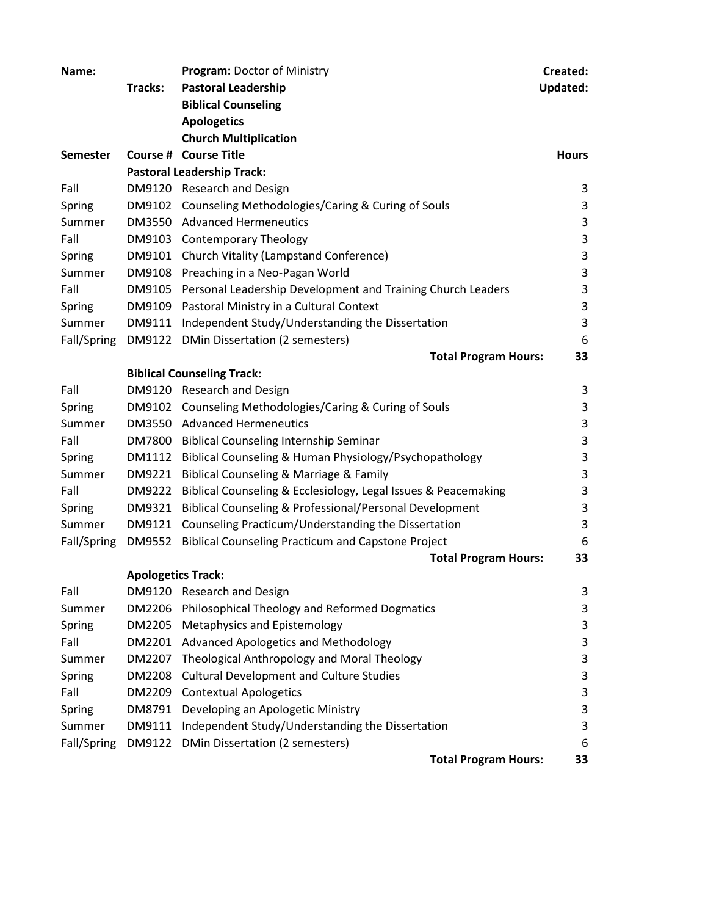| Name:           |                           | <b>Program: Doctor of Ministry</b>                                    | Created:                  |
|-----------------|---------------------------|-----------------------------------------------------------------------|---------------------------|
|                 | Tracks:                   | <b>Pastoral Leadership</b>                                            | <b>Updated:</b>           |
|                 |                           | <b>Biblical Counseling</b>                                            |                           |
|                 |                           | <b>Apologetics</b>                                                    |                           |
|                 |                           | <b>Church Multiplication</b>                                          |                           |
| <b>Semester</b> |                           | Course # Course Title                                                 | <b>Hours</b>              |
|                 |                           | <b>Pastoral Leadership Track:</b>                                     |                           |
| Fall            |                           | DM9120 Research and Design                                            | 3                         |
| Spring          |                           | DM9102 Counseling Methodologies/Caring & Curing of Souls              | 3                         |
| Summer          |                           | DM3550 Advanced Hermeneutics                                          | 3                         |
| Fall            |                           | DM9103 Contemporary Theology                                          | 3                         |
| Spring          |                           | DM9101 Church Vitality (Lampstand Conference)                         | 3                         |
| Summer          |                           | DM9108 Preaching in a Neo-Pagan World                                 | 3                         |
| Fall            |                           | DM9105 Personal Leadership Development and Training Church Leaders    | 3                         |
| Spring          |                           | DM9109 Pastoral Ministry in a Cultural Context                        | 3                         |
| Summer          |                           | DM9111 Independent Study/Understanding the Dissertation               | 3                         |
| Fall/Spring     |                           | DM9122 DMin Dissertation (2 semesters)                                | 6                         |
|                 |                           | <b>Total Program Hours:</b>                                           | 33                        |
|                 |                           | <b>Biblical Counseling Track:</b>                                     |                           |
| Fall            |                           | DM9120 Research and Design                                            | 3                         |
| Spring          |                           | DM9102 Counseling Methodologies/Caring & Curing of Souls              | 3                         |
| Summer          |                           | DM3550 Advanced Hermeneutics                                          | 3                         |
| Fall            |                           | DM7800 Biblical Counseling Internship Seminar                         | 3                         |
| Spring          |                           | DM1112 Biblical Counseling & Human Physiology/Psychopathology         | $\ensuremath{\mathsf{3}}$ |
| Summer          |                           | DM9221 Biblical Counseling & Marriage & Family                        | 3                         |
| Fall            |                           | DM9222 Biblical Counseling & Ecclesiology, Legal Issues & Peacemaking | 3                         |
| Spring          |                           | DM9321 Biblical Counseling & Professional/Personal Development        | 3                         |
| Summer          |                           | DM9121 Counseling Practicum/Understanding the Dissertation            | 3                         |
| Fall/Spring     | DM9552                    | <b>Biblical Counseling Practicum and Capstone Project</b>             | 6                         |
|                 |                           | <b>Total Program Hours:</b>                                           | 33                        |
|                 | <b>Apologetics Track:</b> |                                                                       |                           |
| Fall            |                           | DM9120 Research and Design                                            | 3                         |
| Summer          | DM2206                    | Philosophical Theology and Reformed Dogmatics                         | 3                         |
| Spring          |                           | DM2205 Metaphysics and Epistemology                                   | 3                         |
| Fall            | DM2201                    | Advanced Apologetics and Methodology                                  | 3                         |
| Summer          | DM2207                    | Theological Anthropology and Moral Theology                           | 3                         |
| Spring          | DM2208                    | <b>Cultural Development and Culture Studies</b>                       | 3                         |
| Fall            | DM2209                    | <b>Contextual Apologetics</b>                                         | 3                         |
| Spring          | DM8791                    | Developing an Apologetic Ministry                                     | 3                         |
| Summer          | DM9111                    | Independent Study/Understanding the Dissertation                      | 3                         |
| Fall/Spring     | DM9122                    | DMin Dissertation (2 semesters)                                       | 6                         |
|                 |                           | <b>Total Program Hours:</b>                                           | 33                        |